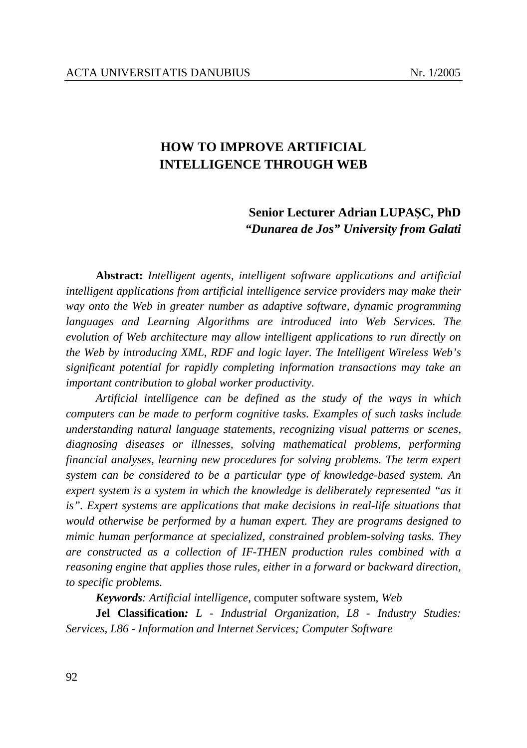# **HOW TO IMPROVE ARTIFICIAL INTELLIGENCE THROUGH WEB**

## **Senior Lecturer Adrian LUPAŞC, PhD** *"Dunarea de Jos" University from Galati*

**Abstract:** *Intelligent agents, intelligent software applications and artificial intelligent applications from artificial intelligence service providers may make their way onto the Web in greater number as adaptive software, dynamic programming languages and Learning Algorithms are introduced into Web Services. The evolution of Web architecture may allow intelligent applications to run directly on the Web by introducing XML, RDF and logic layer. The Intelligent Wireless Web's significant potential for rapidly completing information transactions may take an important contribution to global worker productivity.* 

*Artificial intelligence can be defined as the study of the ways in which computers can be made to perform cognitive tasks. Examples of such tasks include understanding natural language statements, recognizing visual patterns or scenes, diagnosing diseases or illnesses, solving mathematical problems, performing financial analyses, learning new procedures for solving problems. The term expert system can be considered to be a particular type of knowledge-based system. An expert system is a system in which the knowledge is deliberately represented "as it*  is". Expert systems are applications that make decisions in real-life situations that *would otherwise be performed by a human expert. They are programs designed to mimic human performance at specialized, constrained problem-solving tasks. They are constructed as a collection of IF-THEN production rules combined with a reasoning engine that applies those rules, either in a forward or backward direction, to specific problems.* 

*Keywords: Artificial intelligence,* computer software system, *Web* 

**Jel Classification***: L - Industrial Organization, L8 - Industry Studies: Services, L86 - Information and Internet Services; Computer Software*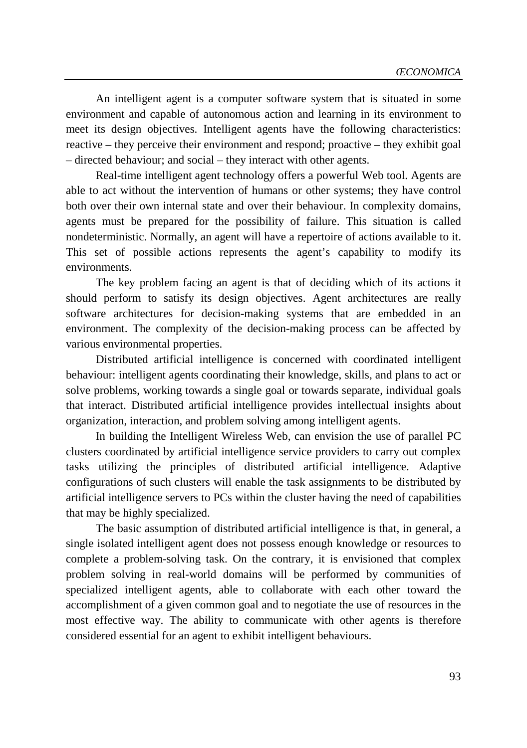An intelligent agent is a computer software system that is situated in some environment and capable of autonomous action and learning in its environment to meet its design objectives. Intelligent agents have the following characteristics: reactive – they perceive their environment and respond; proactive – they exhibit goal – directed behaviour; and social – they interact with other agents.

Real-time intelligent agent technology offers a powerful Web tool. Agents are able to act without the intervention of humans or other systems; they have control both over their own internal state and over their behaviour. In complexity domains, agents must be prepared for the possibility of failure. This situation is called nondeterministic. Normally, an agent will have a repertoire of actions available to it. This set of possible actions represents the agent's capability to modify its environments.

The key problem facing an agent is that of deciding which of its actions it should perform to satisfy its design objectives. Agent architectures are really software architectures for decision-making systems that are embedded in an environment. The complexity of the decision-making process can be affected by various environmental properties.

Distributed artificial intelligence is concerned with coordinated intelligent behaviour: intelligent agents coordinating their knowledge, skills, and plans to act or solve problems, working towards a single goal or towards separate, individual goals that interact. Distributed artificial intelligence provides intellectual insights about organization, interaction, and problem solving among intelligent agents.

In building the Intelligent Wireless Web, can envision the use of parallel PC clusters coordinated by artificial intelligence service providers to carry out complex tasks utilizing the principles of distributed artificial intelligence. Adaptive configurations of such clusters will enable the task assignments to be distributed by artificial intelligence servers to PCs within the cluster having the need of capabilities that may be highly specialized.

The basic assumption of distributed artificial intelligence is that, in general, a single isolated intelligent agent does not possess enough knowledge or resources to complete a problem-solving task. On the contrary, it is envisioned that complex problem solving in real-world domains will be performed by communities of specialized intelligent agents, able to collaborate with each other toward the accomplishment of a given common goal and to negotiate the use of resources in the most effective way. The ability to communicate with other agents is therefore considered essential for an agent to exhibit intelligent behaviours.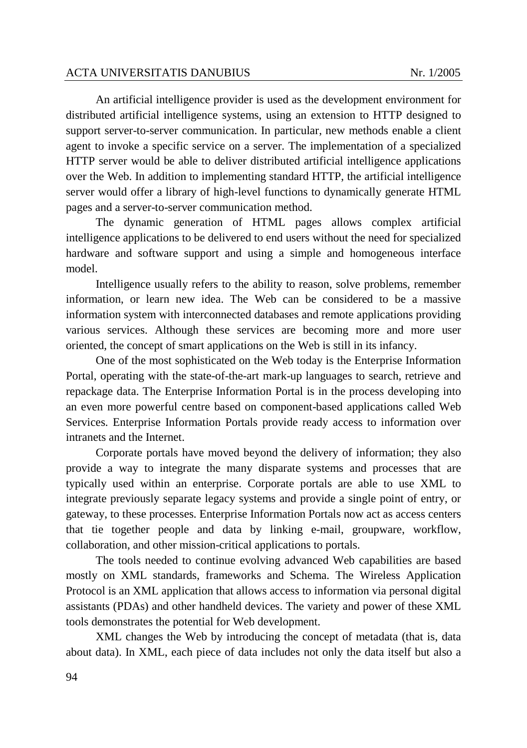An artificial intelligence provider is used as the development environment for distributed artificial intelligence systems, using an extension to HTTP designed to support server-to-server communication. In particular, new methods enable a client agent to invoke a specific service on a server. The implementation of a specialized HTTP server would be able to deliver distributed artificial intelligence applications over the Web. In addition to implementing standard HTTP, the artificial intelligence server would offer a library of high-level functions to dynamically generate HTML pages and a server-to-server communication method.

The dynamic generation of HTML pages allows complex artificial intelligence applications to be delivered to end users without the need for specialized hardware and software support and using a simple and homogeneous interface model.

Intelligence usually refers to the ability to reason, solve problems, remember information, or learn new idea. The Web can be considered to be a massive information system with interconnected databases and remote applications providing various services. Although these services are becoming more and more user oriented, the concept of smart applications on the Web is still in its infancy.

One of the most sophisticated on the Web today is the Enterprise Information Portal, operating with the state-of-the-art mark-up languages to search, retrieve and repackage data. The Enterprise Information Portal is in the process developing into an even more powerful centre based on component-based applications called Web Services. Enterprise Information Portals provide ready access to information over intranets and the Internet.

Corporate portals have moved beyond the delivery of information; they also provide a way to integrate the many disparate systems and processes that are typically used within an enterprise. Corporate portals are able to use XML to integrate previously separate legacy systems and provide a single point of entry, or gateway, to these processes. Enterprise Information Portals now act as access centers that tie together people and data by linking e-mail, groupware, workflow, collaboration, and other mission-critical applications to portals.

The tools needed to continue evolving advanced Web capabilities are based mostly on XML standards, frameworks and Schema. The Wireless Application Protocol is an XML application that allows access to information via personal digital assistants (PDAs) and other handheld devices. The variety and power of these XML tools demonstrates the potential for Web development.

XML changes the Web by introducing the concept of metadata (that is, data about data). In XML, each piece of data includes not only the data itself but also a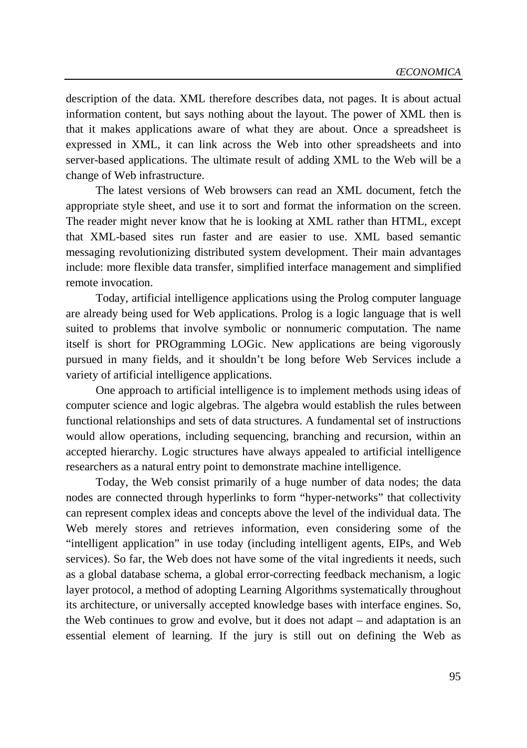description of the data. XML therefore describes data, not pages. It is about actual information content, but says nothing about the layout. The power of XML then is that it makes applications aware of what they are about. Once a spreadsheet is expressed in XML, it can link across the Web into other spreadsheets and into server-based applications. The ultimate result of adding XML to the Web will be a change of Web infrastructure.

The latest versions of Web browsers can read an XML document, fetch the appropriate style sheet, and use it to sort and format the information on the screen. The reader might never know that he is looking at XML rather than HTML, except that XML-based sites run faster and are easier to use. XML based semantic messaging revolutionizing distributed system development. Their main advantages include: more flexible data transfer, simplified interface management and simplified remote invocation.

Today, artificial intelligence applications using the Prolog computer language are already being used for Web applications. Prolog is a logic language that is well suited to problems that involve symbolic or nonnumeric computation. The name itself is short for PROgramming LOGic. New applications are being vigorously pursued in many fields, and it shouldn't be long before Web Services include a variety of artificial intelligence applications.

One approach to artificial intelligence is to implement methods using ideas of computer science and logic algebras. The algebra would establish the rules between functional relationships and sets of data structures. A fundamental set of instructions would allow operations, including sequencing, branching and recursion, within an accepted hierarchy. Logic structures have always appealed to artificial intelligence researchers as a natural entry point to demonstrate machine intelligence.

Today, the Web consist primarily of a huge number of data nodes; the data nodes are connected through hyperlinks to form "hyper-networks" that collectivity can represent complex ideas and concepts above the level of the individual data. The Web merely stores and retrieves information, even considering some of the "intelligent application" in use today (including intelligent agents, EIPs, and Web services). So far, the Web does not have some of the vital ingredients it needs, such as a global database schema, a global error-correcting feedback mechanism, a logic layer protocol, a method of adopting Learning Algorithms systematically throughout its architecture, or universally accepted knowledge bases with interface engines. So, the Web continues to grow and evolve, but it does not adapt – and adaptation is an essential element of learning. If the jury is still out on defining the Web as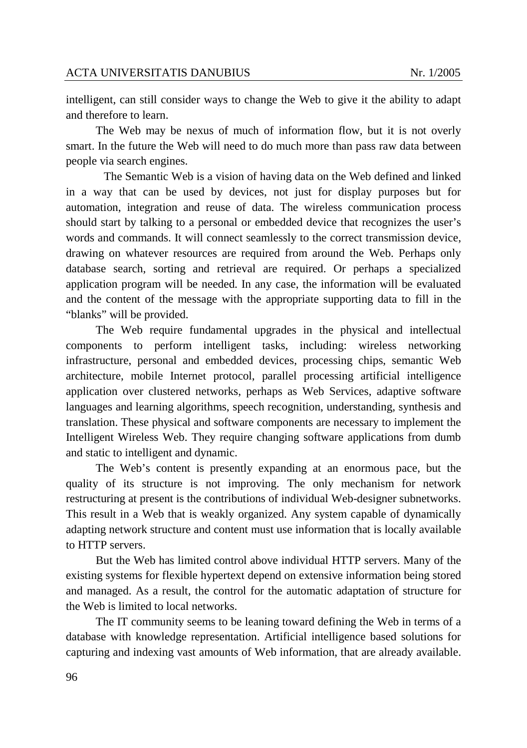intelligent, can still consider ways to change the Web to give it the ability to adapt and therefore to learn.

The Web may be nexus of much of information flow, but it is not overly smart. In the future the Web will need to do much more than pass raw data between people via search engines.

 The Semantic Web is a vision of having data on the Web defined and linked in a way that can be used by devices, not just for display purposes but for automation, integration and reuse of data. The wireless communication process should start by talking to a personal or embedded device that recognizes the user's words and commands. It will connect seamlessly to the correct transmission device, drawing on whatever resources are required from around the Web. Perhaps only database search, sorting and retrieval are required. Or perhaps a specialized application program will be needed. In any case, the information will be evaluated and the content of the message with the appropriate supporting data to fill in the "blanks" will be provided.

The Web require fundamental upgrades in the physical and intellectual components to perform intelligent tasks, including: wireless networking infrastructure, personal and embedded devices, processing chips, semantic Web architecture, mobile Internet protocol, parallel processing artificial intelligence application over clustered networks, perhaps as Web Services, adaptive software languages and learning algorithms, speech recognition, understanding, synthesis and translation. These physical and software components are necessary to implement the Intelligent Wireless Web. They require changing software applications from dumb and static to intelligent and dynamic.

The Web's content is presently expanding at an enormous pace, but the quality of its structure is not improving. The only mechanism for network restructuring at present is the contributions of individual Web-designer subnetworks. This result in a Web that is weakly organized. Any system capable of dynamically adapting network structure and content must use information that is locally available to HTTP servers.

But the Web has limited control above individual HTTP servers. Many of the existing systems for flexible hypertext depend on extensive information being stored and managed. As a result, the control for the automatic adaptation of structure for the Web is limited to local networks.

The IT community seems to be leaning toward defining the Web in terms of a database with knowledge representation. Artificial intelligence based solutions for capturing and indexing vast amounts of Web information, that are already available.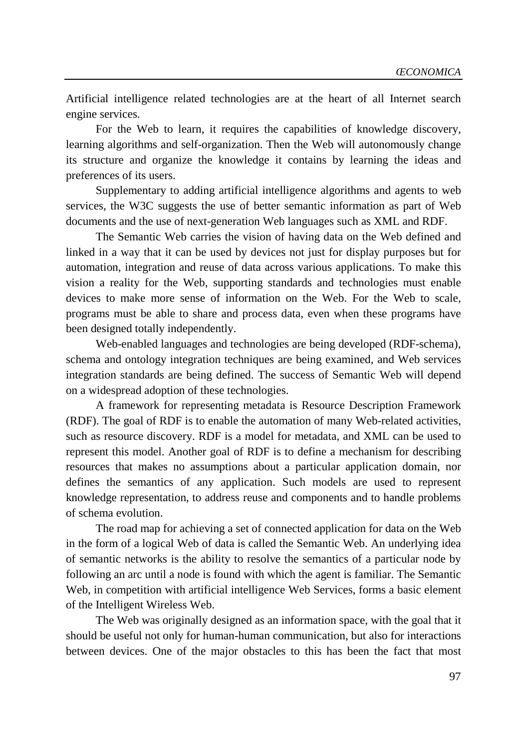Artificial intelligence related technologies are at the heart of all Internet search engine services.

For the Web to learn, it requires the capabilities of knowledge discovery, learning algorithms and self-organization. Then the Web will autonomously change its structure and organize the knowledge it contains by learning the ideas and preferences of its users.

Supplementary to adding artificial intelligence algorithms and agents to web services, the W3C suggests the use of better semantic information as part of Web documents and the use of next-generation Web languages such as XML and RDF.

The Semantic Web carries the vision of having data on the Web defined and linked in a way that it can be used by devices not just for display purposes but for automation, integration and reuse of data across various applications. To make this vision a reality for the Web, supporting standards and technologies must enable devices to make more sense of information on the Web. For the Web to scale, programs must be able to share and process data, even when these programs have been designed totally independently.

Web-enabled languages and technologies are being developed (RDF-schema), schema and ontology integration techniques are being examined, and Web services integration standards are being defined. The success of Semantic Web will depend on a widespread adoption of these technologies.

A framework for representing metadata is Resource Description Framework (RDF). The goal of RDF is to enable the automation of many Web-related activities, such as resource discovery. RDF is a model for metadata, and XML can be used to represent this model. Another goal of RDF is to define a mechanism for describing resources that makes no assumptions about a particular application domain, nor defines the semantics of any application. Such models are used to represent knowledge representation, to address reuse and components and to handle problems of schema evolution.

The road map for achieving a set of connected application for data on the Web in the form of a logical Web of data is called the Semantic Web. An underlying idea of semantic networks is the ability to resolve the semantics of a particular node by following an arc until a node is found with which the agent is familiar. The Semantic Web, in competition with artificial intelligence Web Services, forms a basic element of the Intelligent Wireless Web.

The Web was originally designed as an information space, with the goal that it should be useful not only for human-human communication, but also for interactions between devices. One of the major obstacles to this has been the fact that most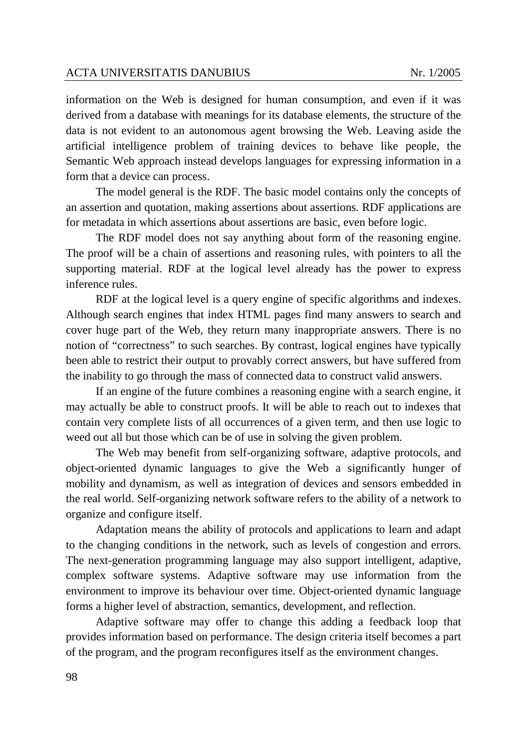information on the Web is designed for human consumption, and even if it was derived from a database with meanings for its database elements, the structure of the data is not evident to an autonomous agent browsing the Web. Leaving aside the artificial intelligence problem of training devices to behave like people, the Semantic Web approach instead develops languages for expressing information in a form that a device can process.

The model general is the RDF. The basic model contains only the concepts of an assertion and quotation, making assertions about assertions. RDF applications are for metadata in which assertions about assertions are basic, even before logic.

The RDF model does not say anything about form of the reasoning engine. The proof will be a chain of assertions and reasoning rules, with pointers to all the supporting material. RDF at the logical level already has the power to express inference rules.

RDF at the logical level is a query engine of specific algorithms and indexes. Although search engines that index HTML pages find many answers to search and cover huge part of the Web, they return many inappropriate answers. There is no notion of "correctness" to such searches. By contrast, logical engines have typically been able to restrict their output to provably correct answers, but have suffered from the inability to go through the mass of connected data to construct valid answers.

If an engine of the future combines a reasoning engine with a search engine, it may actually be able to construct proofs. It will be able to reach out to indexes that contain very complete lists of all occurrences of a given term, and then use logic to weed out all but those which can be of use in solving the given problem.

The Web may benefit from self-organizing software, adaptive protocols, and object-oriented dynamic languages to give the Web a significantly hunger of mobility and dynamism, as well as integration of devices and sensors embedded in the real world. Self-organizing network software refers to the ability of a network to organize and configure itself.

Adaptation means the ability of protocols and applications to learn and adapt to the changing conditions in the network, such as levels of congestion and errors. The next-generation programming language may also support intelligent, adaptive, complex software systems. Adaptive software may use information from the environment to improve its behaviour over time. Object-oriented dynamic language forms a higher level of abstraction, semantics, development, and reflection.

Adaptive software may offer to change this adding a feedback loop that provides information based on performance. The design criteria itself becomes a part of the program, and the program reconfigures itself as the environment changes.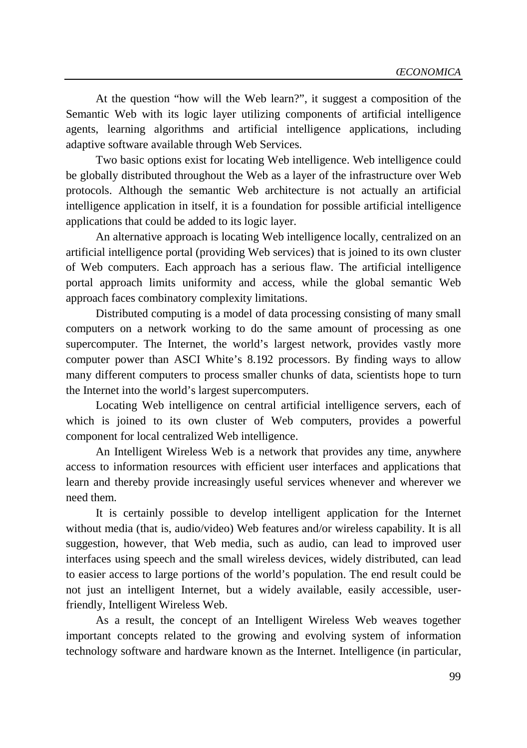At the question "how will the Web learn?", it suggest a composition of the Semantic Web with its logic layer utilizing components of artificial intelligence agents, learning algorithms and artificial intelligence applications, including adaptive software available through Web Services.

Two basic options exist for locating Web intelligence. Web intelligence could be globally distributed throughout the Web as a layer of the infrastructure over Web protocols. Although the semantic Web architecture is not actually an artificial intelligence application in itself, it is a foundation for possible artificial intelligence applications that could be added to its logic layer.

An alternative approach is locating Web intelligence locally, centralized on an artificial intelligence portal (providing Web services) that is joined to its own cluster of Web computers. Each approach has a serious flaw. The artificial intelligence portal approach limits uniformity and access, while the global semantic Web approach faces combinatory complexity limitations.

Distributed computing is a model of data processing consisting of many small computers on a network working to do the same amount of processing as one supercomputer. The Internet, the world's largest network, provides vastly more computer power than ASCI White's 8.192 processors. By finding ways to allow many different computers to process smaller chunks of data, scientists hope to turn the Internet into the world's largest supercomputers.

Locating Web intelligence on central artificial intelligence servers, each of which is joined to its own cluster of Web computers, provides a powerful component for local centralized Web intelligence.

An Intelligent Wireless Web is a network that provides any time, anywhere access to information resources with efficient user interfaces and applications that learn and thereby provide increasingly useful services whenever and wherever we need them.

It is certainly possible to develop intelligent application for the Internet without media (that is, audio/video) Web features and/or wireless capability. It is all suggestion, however, that Web media, such as audio, can lead to improved user interfaces using speech and the small wireless devices, widely distributed, can lead to easier access to large portions of the world's population. The end result could be not just an intelligent Internet, but a widely available, easily accessible, userfriendly, Intelligent Wireless Web.

As a result, the concept of an Intelligent Wireless Web weaves together important concepts related to the growing and evolving system of information technology software and hardware known as the Internet. Intelligence (in particular,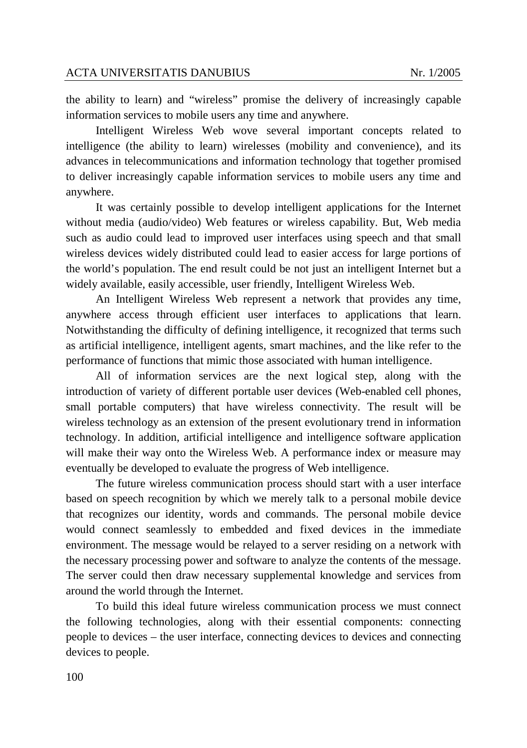the ability to learn) and "wireless" promise the delivery of increasingly capable information services to mobile users any time and anywhere.

Intelligent Wireless Web wove several important concepts related to intelligence (the ability to learn) wirelesses (mobility and convenience), and its advances in telecommunications and information technology that together promised to deliver increasingly capable information services to mobile users any time and anywhere.

It was certainly possible to develop intelligent applications for the Internet without media (audio/video) Web features or wireless capability. But, Web media such as audio could lead to improved user interfaces using speech and that small wireless devices widely distributed could lead to easier access for large portions of the world's population. The end result could be not just an intelligent Internet but a widely available, easily accessible, user friendly, Intelligent Wireless Web.

An Intelligent Wireless Web represent a network that provides any time, anywhere access through efficient user interfaces to applications that learn. Notwithstanding the difficulty of defining intelligence, it recognized that terms such as artificial intelligence, intelligent agents, smart machines, and the like refer to the performance of functions that mimic those associated with human intelligence.

All of information services are the next logical step, along with the introduction of variety of different portable user devices (Web-enabled cell phones, small portable computers) that have wireless connectivity. The result will be wireless technology as an extension of the present evolutionary trend in information technology. In addition, artificial intelligence and intelligence software application will make their way onto the Wireless Web. A performance index or measure may eventually be developed to evaluate the progress of Web intelligence.

The future wireless communication process should start with a user interface based on speech recognition by which we merely talk to a personal mobile device that recognizes our identity, words and commands. The personal mobile device would connect seamlessly to embedded and fixed devices in the immediate environment. The message would be relayed to a server residing on a network with the necessary processing power and software to analyze the contents of the message. The server could then draw necessary supplemental knowledge and services from around the world through the Internet.

To build this ideal future wireless communication process we must connect the following technologies, along with their essential components: connecting people to devices – the user interface, connecting devices to devices and connecting devices to people.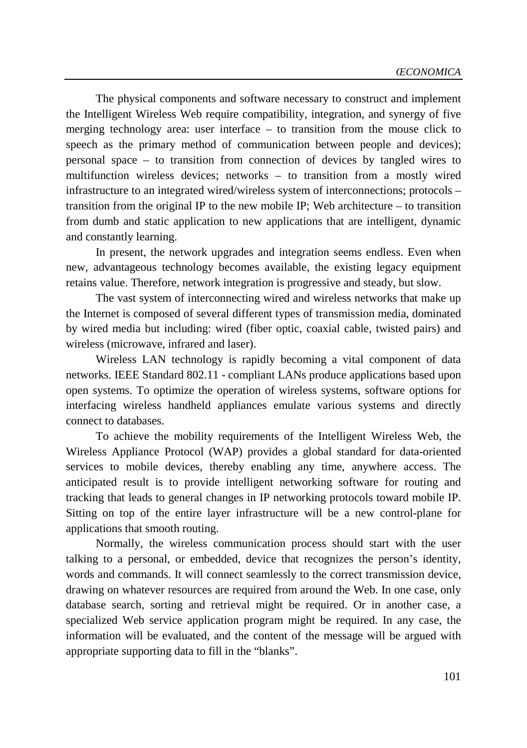The physical components and software necessary to construct and implement the Intelligent Wireless Web require compatibility, integration, and synergy of five merging technology area: user interface – to transition from the mouse click to speech as the primary method of communication between people and devices); personal space – to transition from connection of devices by tangled wires to multifunction wireless devices; networks – to transition from a mostly wired infrastructure to an integrated wired/wireless system of interconnections; protocols – transition from the original IP to the new mobile IP; Web architecture  $-$  to transition from dumb and static application to new applications that are intelligent, dynamic and constantly learning.

In present, the network upgrades and integration seems endless. Even when new, advantageous technology becomes available, the existing legacy equipment retains value. Therefore, network integration is progressive and steady, but slow.

The vast system of interconnecting wired and wireless networks that make up the Internet is composed of several different types of transmission media, dominated by wired media but including: wired (fiber optic, coaxial cable, twisted pairs) and wireless (microwave, infrared and laser).

Wireless LAN technology is rapidly becoming a vital component of data networks. IEEE Standard 802.11 - compliant LANs produce applications based upon open systems. To optimize the operation of wireless systems, software options for interfacing wireless handheld appliances emulate various systems and directly connect to databases.

To achieve the mobility requirements of the Intelligent Wireless Web, the Wireless Appliance Protocol (WAP) provides a global standard for data-oriented services to mobile devices, thereby enabling any time, anywhere access. The anticipated result is to provide intelligent networking software for routing and tracking that leads to general changes in IP networking protocols toward mobile IP. Sitting on top of the entire layer infrastructure will be a new control-plane for applications that smooth routing.

Normally, the wireless communication process should start with the user talking to a personal, or embedded, device that recognizes the person's identity, words and commands. It will connect seamlessly to the correct transmission device, drawing on whatever resources are required from around the Web. In one case, only database search, sorting and retrieval might be required. Or in another case, a specialized Web service application program might be required. In any case, the information will be evaluated, and the content of the message will be argued with appropriate supporting data to fill in the "blanks".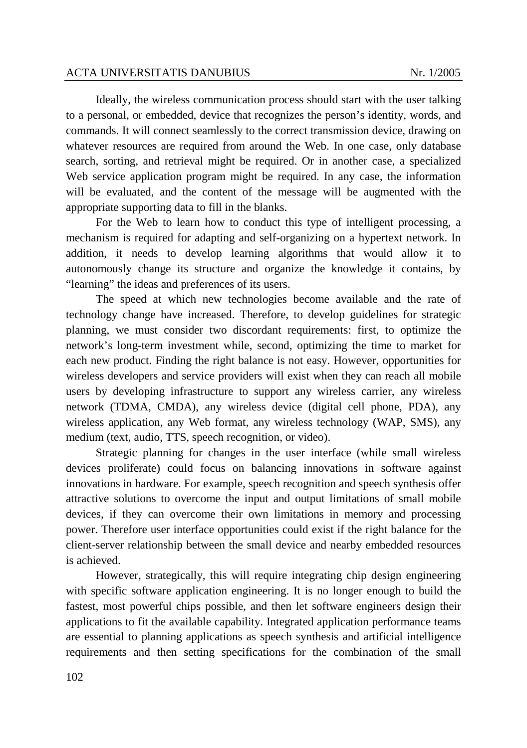Ideally, the wireless communication process should start with the user talking to a personal, or embedded, device that recognizes the person's identity, words, and commands. It will connect seamlessly to the correct transmission device, drawing on whatever resources are required from around the Web. In one case, only database search, sorting, and retrieval might be required. Or in another case, a specialized Web service application program might be required. In any case, the information will be evaluated, and the content of the message will be augmented with the appropriate supporting data to fill in the blanks.

For the Web to learn how to conduct this type of intelligent processing, a mechanism is required for adapting and self-organizing on a hypertext network. In addition, it needs to develop learning algorithms that would allow it to autonomously change its structure and organize the knowledge it contains, by "learning" the ideas and preferences of its users.

The speed at which new technologies become available and the rate of technology change have increased. Therefore, to develop guidelines for strategic planning, we must consider two discordant requirements: first, to optimize the network's long-term investment while, second, optimizing the time to market for each new product. Finding the right balance is not easy. However, opportunities for wireless developers and service providers will exist when they can reach all mobile users by developing infrastructure to support any wireless carrier, any wireless network (TDMA, CMDA), any wireless device (digital cell phone, PDA), any wireless application, any Web format, any wireless technology (WAP, SMS), any medium (text, audio, TTS, speech recognition, or video).

Strategic planning for changes in the user interface (while small wireless devices proliferate) could focus on balancing innovations in software against innovations in hardware. For example, speech recognition and speech synthesis offer attractive solutions to overcome the input and output limitations of small mobile devices, if they can overcome their own limitations in memory and processing power. Therefore user interface opportunities could exist if the right balance for the client-server relationship between the small device and nearby embedded resources is achieved.

However, strategically, this will require integrating chip design engineering with specific software application engineering. It is no longer enough to build the fastest, most powerful chips possible, and then let software engineers design their applications to fit the available capability. Integrated application performance teams are essential to planning applications as speech synthesis and artificial intelligence requirements and then setting specifications for the combination of the small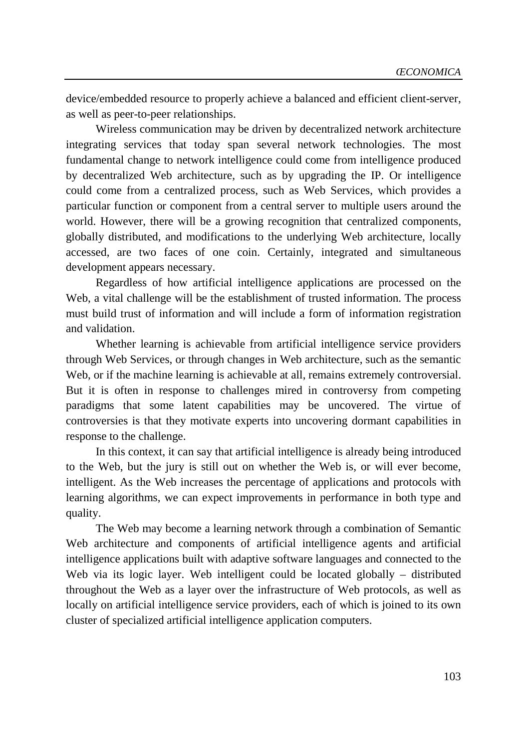device/embedded resource to properly achieve a balanced and efficient client-server, as well as peer-to-peer relationships.

Wireless communication may be driven by decentralized network architecture integrating services that today span several network technologies. The most fundamental change to network intelligence could come from intelligence produced by decentralized Web architecture, such as by upgrading the IP. Or intelligence could come from a centralized process, such as Web Services, which provides a particular function or component from a central server to multiple users around the world. However, there will be a growing recognition that centralized components, globally distributed, and modifications to the underlying Web architecture, locally accessed, are two faces of one coin. Certainly, integrated and simultaneous development appears necessary.

Regardless of how artificial intelligence applications are processed on the Web, a vital challenge will be the establishment of trusted information. The process must build trust of information and will include a form of information registration and validation.

Whether learning is achievable from artificial intelligence service providers through Web Services, or through changes in Web architecture, such as the semantic Web, or if the machine learning is achievable at all, remains extremely controversial. But it is often in response to challenges mired in controversy from competing paradigms that some latent capabilities may be uncovered. The virtue of controversies is that they motivate experts into uncovering dormant capabilities in response to the challenge.

In this context, it can say that artificial intelligence is already being introduced to the Web, but the jury is still out on whether the Web is, or will ever become, intelligent. As the Web increases the percentage of applications and protocols with learning algorithms, we can expect improvements in performance in both type and quality.

The Web may become a learning network through a combination of Semantic Web architecture and components of artificial intelligence agents and artificial intelligence applications built with adaptive software languages and connected to the Web via its logic layer. Web intelligent could be located globally – distributed throughout the Web as a layer over the infrastructure of Web protocols, as well as locally on artificial intelligence service providers, each of which is joined to its own cluster of specialized artificial intelligence application computers.